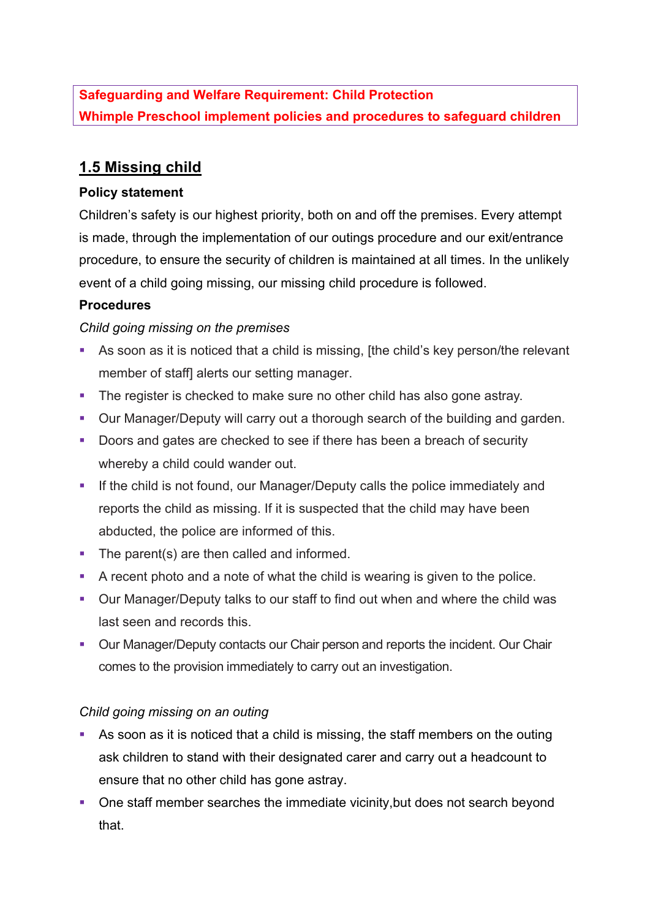**Safeguarding and Welfare Requirement: Child Protection Whimple Preschool implement policies and procedures to safeguard children**

# **1.5 Missing child**

### **Policy statement**

Children's safety is our highest priority, both on and off the premises. Every attempt is made, through the implementation of our outings procedure and our exit/entrance procedure, to ensure the security of children is maintained at all times. In the unlikely event of a child going missing, our missing child procedure is followed.

### **Procedures**

### *Child going missing on the premises*

- As soon as it is noticed that a child is missing, [the child's key person/the relevant member of staff] alerts our setting manager.
- The register is checked to make sure no other child has also gone astray.
- Our Manager/Deputy will carry out a thorough search of the building and garden.
- Doors and gates are checked to see if there has been a breach of security whereby a child could wander out.
- **If the child is not found, our Manager/Deputy calls the police immediately and** reports the child as missing. If it is suspected that the child may have been abducted, the police are informed of this.
- The parent(s) are then called and informed.
- A recent photo and a note of what the child is wearing is given to the police.
- § Our Manager/Deputy talks to our staff to find out when and where the child was last seen and records this.
- Our Manager/Deputy contacts our Chair person and reports the incident. Our Chair comes to the provision immediately to carry out an investigation.

# *Child going missing on an outing*

- As soon as it is noticed that a child is missing, the staff members on the outing ask children to stand with their designated carer and carry out a headcount to ensure that no other child has gone astray.
- One staff member searches the immediate vicinity, but does not search beyond that.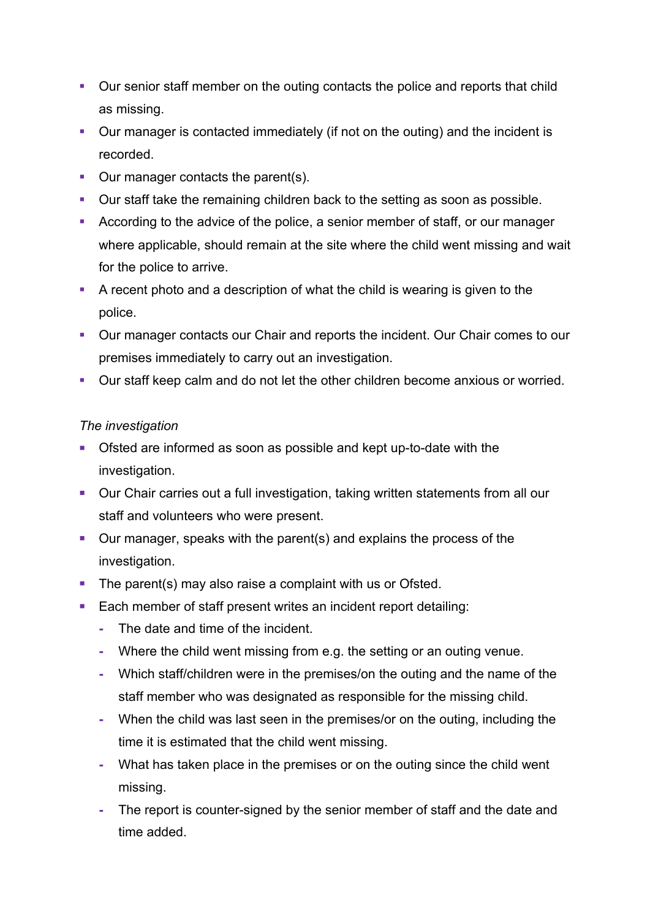- Our senior staff member on the outing contacts the police and reports that child as missing.
- Our manager is contacted immediately (if not on the outing) and the incident is recorded.
- Our manager contacts the parent(s).
- Our staff take the remaining children back to the setting as soon as possible.
- According to the advice of the police, a senior member of staff, or our manager where applicable, should remain at the site where the child went missing and wait for the police to arrive.
- § A recent photo and a description of what the child is wearing is given to the police.
- Our manager contacts our Chair and reports the incident. Our Chair comes to our premises immediately to carry out an investigation.
- Our staff keep calm and do not let the other children become anxious or worried.

# *The investigation*

- Ofsted are informed as soon as possible and kept up-to-date with the investigation.
- Our Chair carries out a full investigation, taking written statements from all our staff and volunteers who were present.
- Our manager, speaks with the parent(s) and explains the process of the investigation.
- The parent(s) may also raise a complaint with us or Ofsted.
- Each member of staff present writes an incident report detailing:
	- **-** The date and time of the incident.
	- **-** Where the child went missing from e.g. the setting or an outing venue.
	- **-** Which staff/children were in the premises/on the outing and the name of the staff member who was designated as responsible for the missing child.
	- **-** When the child was last seen in the premises/or on the outing, including the time it is estimated that the child went missing.
	- **-** What has taken place in the premises or on the outing since the child went missing.
	- **-** The report is counter-signed by the senior member of staff and the date and time added.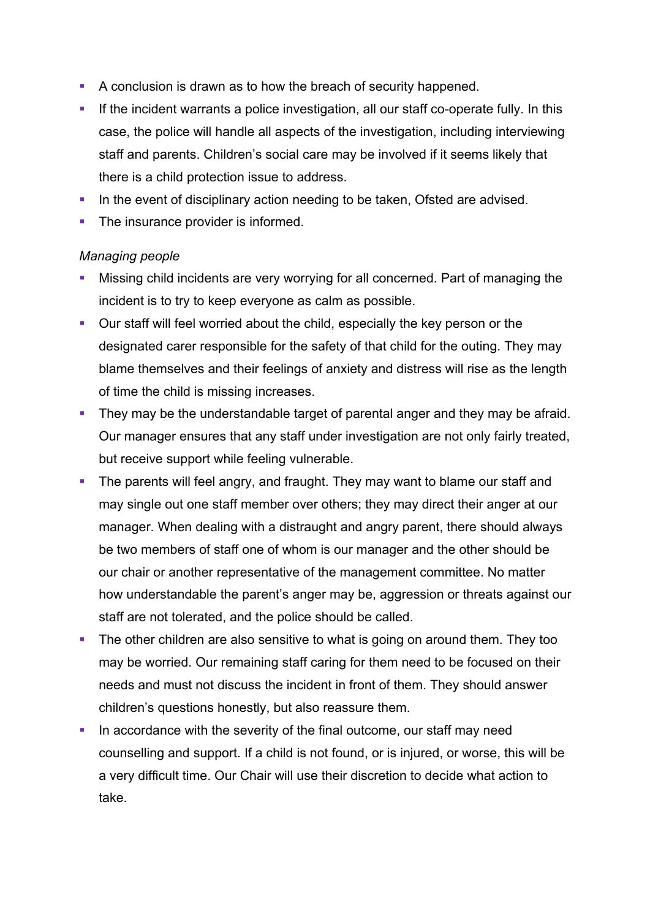- A conclusion is drawn as to how the breach of security happened.
- If the incident warrants a police investigation, all our staff co-operate fully. In this case, the police will handle all aspects of the investigation, including interviewing staff and parents. Children's social care may be involved if it seems likely that there is a child protection issue to address.
- In the event of disciplinary action needing to be taken, Ofsted are advised.
- The insurance provider is informed.

### *Managing people*

- Missing child incidents are very worrying for all concerned. Part of managing the incident is to try to keep everyone as calm as possible.
- Our staff will feel worried about the child, especially the key person or the designated carer responsible for the safety of that child for the outing. They may blame themselves and their feelings of anxiety and distress will rise as the length of time the child is missing increases.
- They may be the understandable target of parental anger and they may be afraid. Our manager ensures that any staff under investigation are not only fairly treated, but receive support while feeling vulnerable.
- The parents will feel angry, and fraught. They may want to blame our staff and may single out one staff member over others; they may direct their anger at our manager. When dealing with a distraught and angry parent, there should always be two members of staff one of whom is our manager and the other should be our chair or another representative of the management committee. No matter how understandable the parent's anger may be, aggression or threats against our staff are not tolerated, and the police should be called.
- The other children are also sensitive to what is going on around them. They too may be worried. Our remaining staff caring for them need to be focused on their needs and must not discuss the incident in front of them. They should answer children's questions honestly, but also reassure them.
- In accordance with the severity of the final outcome, our staff may need counselling and support. If a child is not found, or is injured, or worse, this will be a very difficult time. Our Chair will use their discretion to decide what action to take.